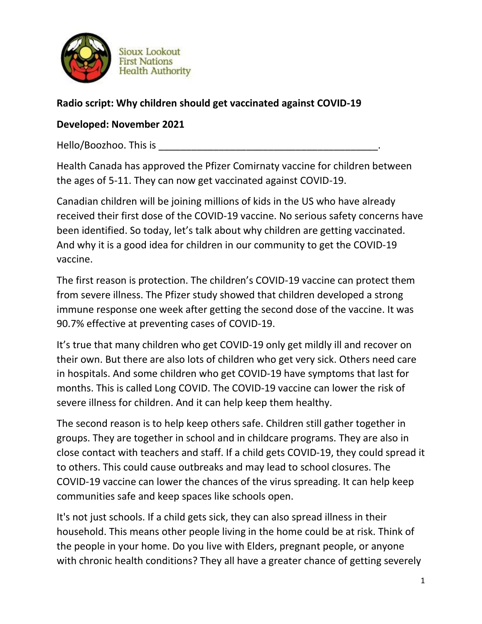

**Sioux Lookout First Nations Health Authority** 

## **Radio script: Why children should get vaccinated against COVID-19**

## **Developed: November 2021**

Hello/Boozhoo. This is

Health Canada has approved the Pfizer Comirnaty vaccine for children between the ages of 5-11. They can now get vaccinated against COVID-19.

Canadian children will be joining millions of kids in the US who have already received their first dose of the COVID-19 vaccine. No serious safety concerns have been identified. So today, let's talk about why children are getting vaccinated. And why it is a good idea for children in our community to get the COVID-19 vaccine.

The first reason is protection. The children's COVID-19 vaccine can protect them from severe illness. The Pfizer study showed that children developed a strong immune response one week after getting the second dose of the vaccine. It was 90.7% effective at preventing cases of COVID-19.

It's true that many children who get COVID-19 only get mildly ill and recover on their own. But there are also lots of children who get very sick. Others need care in hospitals. And some children who get COVID-19 have symptoms that last for months. This is called Long COVID. The COVID-19 vaccine can lower the risk of severe illness for children. And it can help keep them healthy.

The second reason is to help keep others safe. Children still gather together in groups. They are together in school and in childcare programs. They are also in close contact with teachers and staff. If a child gets COVID-19, they could spread it to others. This could cause outbreaks and may lead to school closures. The COVID-19 vaccine can lower the chances of the virus spreading. It can help keep communities safe and keep spaces like schools open.

It's not just schools. If a child gets sick, they can also spread illness in their household. This means other people living in the home could be at risk. Think of the people in your home. Do you live with Elders, pregnant people, or anyone with chronic health conditions? They all have a greater chance of getting severely